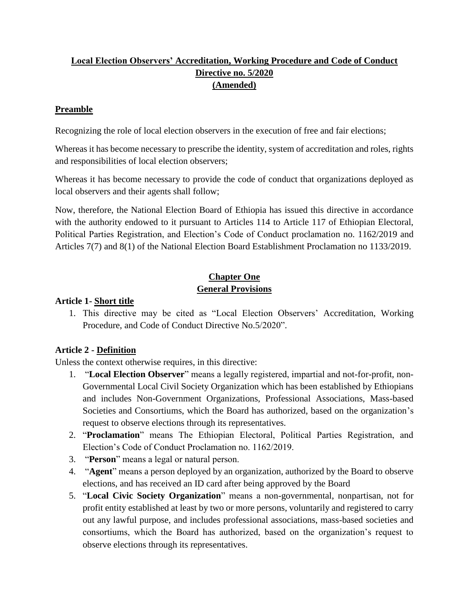# **Local Election Observers' Accreditation, Working Procedure and Code of Conduct Directive no. 5/2020 (Amended)**

### **Preamble**

Recognizing the role of local election observers in the execution of free and fair elections;

Whereas it has become necessary to prescribe the identity, system of accreditation and roles, rights and responsibilities of local election observers;

Whereas it has become necessary to provide the code of conduct that organizations deployed as local observers and their agents shall follow;

Now, therefore, the National Election Board of Ethiopia has issued this directive in accordance with the authority endowed to it pursuant to Articles 114 to Article 117 of Ethiopian Electoral, Political Parties Registration, and Election's Code of Conduct proclamation no. 1162/2019 and Articles 7(7) and 8(1) of the National Election Board Establishment Proclamation no 1133/2019.

# **Chapter One General Provisions**

### **Article 1- Short title**

1. This directive may be cited as "Local Election Observers' Accreditation, Working Procedure, and Code of Conduct Directive No.5/2020".

# **Article 2 - Definition**

Unless the context otherwise requires, in this directive:

- 1. "**Local Election Observer**" means a legally registered, impartial and not-for-profit, non-Governmental Local Civil Society Organization which has been established by Ethiopians and includes Non-Government Organizations, Professional Associations, Mass-based Societies and Consortiums, which the Board has authorized, based on the organization's request to observe elections through its representatives.
- 2. "**Proclamation**" means The Ethiopian Electoral, Political Parties Registration, and Election's Code of Conduct Proclamation no. 1162/2019.
- 3. "**Person**" means a legal or natural person.
- 4. "**Agent**" means a person deployed by an organization, authorized by the Board to observe elections, and has received an ID card after being approved by the Board
- 5. "**Local Civic Society Organization**" means a non-governmental, nonpartisan, not for profit entity established at least by two or more persons, voluntarily and registered to carry out any lawful purpose, and includes professional associations, mass-based societies and consortiums, which the Board has authorized, based on the organization's request to observe elections through its representatives.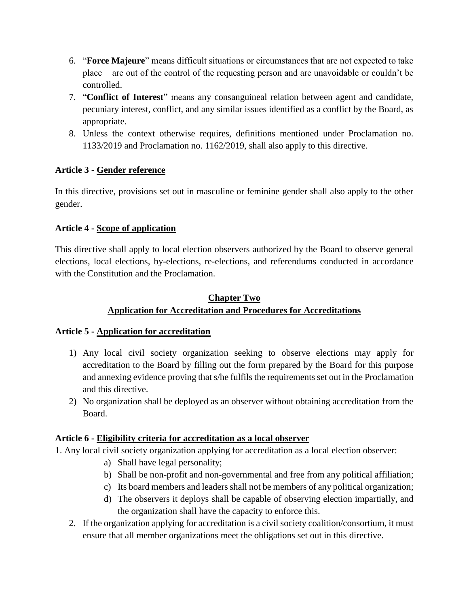- 6. "**Force Majeure**" means difficult situations or circumstances that are not expected to take place are out of the control of the requesting person and are unavoidable or couldn't be controlled.
- 7. "**Conflict of Interest**" means any consanguineal relation between agent and candidate, pecuniary interest, conflict, and any similar issues identified as a conflict by the Board, as appropriate.
- 8. Unless the context otherwise requires, definitions mentioned under Proclamation no. 1133/2019 and Proclamation no. 1162/2019, shall also apply to this directive.

# **Article 3 - Gender reference**

In this directive, provisions set out in masculine or feminine gender shall also apply to the other gender.

#### **Article 4 - Scope of application**

This directive shall apply to local election observers authorized by the Board to observe general elections, local elections, by-elections, re-elections, and referendums conducted in accordance with the Constitution and the Proclamation.

# **Chapter Two Application for Accreditation and Procedures for Accreditations**

#### **Article 5 - Application for accreditation**

- 1) Any local civil society organization seeking to observe elections may apply for accreditation to the Board by filling out the form prepared by the Board for this purpose and annexing evidence proving that s/he fulfils the requirements set out in the Proclamation and this directive.
- 2) No organization shall be deployed as an observer without obtaining accreditation from the Board.

#### **Article 6 - Eligibility criteria for accreditation as a local observer**

1. Any local civil society organization applying for accreditation as a local election observer:

- a) Shall have legal personality;
- b) Shall be non-profit and non-governmental and free from any political affiliation;
- c) Its board members and leaders shall not be members of any political organization;
- d) The observers it deploys shall be capable of observing election impartially, and the organization shall have the capacity to enforce this.
- 2. If the organization applying for accreditation is a civil society coalition/consortium, it must ensure that all member organizations meet the obligations set out in this directive.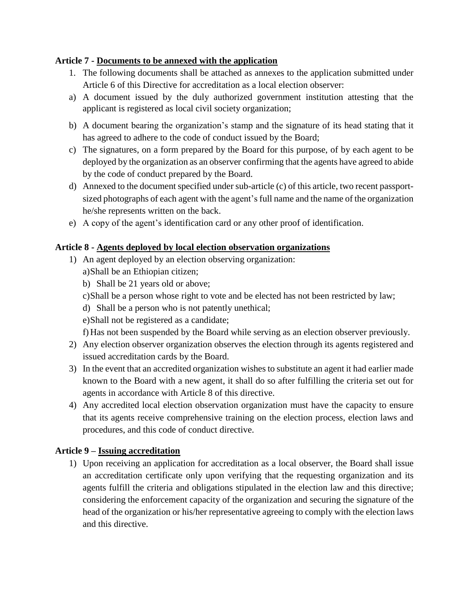### **Article 7 - Documents to be annexed with the application**

- 1. The following documents shall be attached as annexes to the application submitted under Article 6 of this Directive for accreditation as a local election observer:
- a) A document issued by the duly authorized government institution attesting that the applicant is registered as local civil society organization;
- b) A document bearing the organization's stamp and the signature of its head stating that it has agreed to adhere to the code of conduct issued by the Board;
- c) The signatures, on a form prepared by the Board for this purpose, of by each agent to be deployed by the organization as an observer confirming that the agents have agreed to abide by the code of conduct prepared by the Board.
- d) Annexed to the document specified under sub-article (c) of this article, two recent passportsized photographs of each agent with the agent's full name and the name of the organization he/she represents written on the back.
- e) A copy of the agent's identification card or any other proof of identification.

### **Article 8 - Agents deployed by local election observation organizations**

- 1) An agent deployed by an election observing organization: a)Shall be an Ethiopian citizen;
	- b) Shall be 21 years old or above;
	- c)Shall be a person whose right to vote and be elected has not been restricted by law;
	- d) Shall be a person who is not patently unethical;
	- e)Shall not be registered as a candidate;

f) Has not been suspended by the Board while serving as an election observer previously.

- 2) Any election observer organization observes the election through its agents registered and issued accreditation cards by the Board.
- 3) In the event that an accredited organization wishes to substitute an agent it had earlier made known to the Board with a new agent, it shall do so after fulfilling the criteria set out for agents in accordance with Article 8 of this directive.
- 4) Any accredited local election observation organization must have the capacity to ensure that its agents receive comprehensive training on the election process, election laws and procedures, and this code of conduct directive.

# **Article 9 – Issuing accreditation**

1) Upon receiving an application for accreditation as a local observer, the Board shall issue an accreditation certificate only upon verifying that the requesting organization and its agents fulfill the criteria and obligations stipulated in the election law and this directive; considering the enforcement capacity of the organization and securing the signature of the head of the organization or his/her representative agreeing to comply with the election laws and this directive.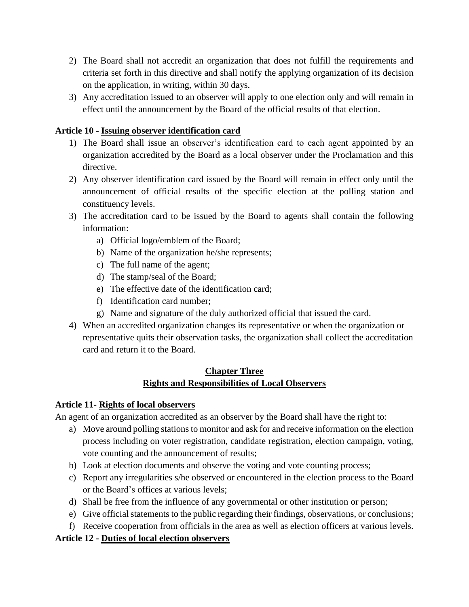- 2) The Board shall not accredit an organization that does not fulfill the requirements and criteria set forth in this directive and shall notify the applying organization of its decision on the application, in writing, within 30 days.
- 3) Any accreditation issued to an observer will apply to one election only and will remain in effect until the announcement by the Board of the official results of that election.

### **Article 10 - Issuing observer identification card**

- 1) The Board shall issue an observer's identification card to each agent appointed by an organization accredited by the Board as a local observer under the Proclamation and this directive.
- 2) Any observer identification card issued by the Board will remain in effect only until the announcement of official results of the specific election at the polling station and constituency levels.
- 3) The accreditation card to be issued by the Board to agents shall contain the following information:
	- a) Official logo/emblem of the Board;
	- b) Name of the organization he/she represents;
	- c) The full name of the agent;
	- d) The stamp/seal of the Board;
	- e) The effective date of the identification card;
	- f) Identification card number;
	- g) Name and signature of the duly authorized official that issued the card.
- 4) When an accredited organization changes its representative or when the organization or representative quits their observation tasks, the organization shall collect the accreditation card and return it to the Board.

### **Chapter Three Rights and Responsibilities of Local Observers**

#### **Article 11- Rights of local observers**

An agent of an organization accredited as an observer by the Board shall have the right to:

- a) Move around polling stations to monitor and ask for and receive information on the election process including on voter registration, candidate registration, election campaign, voting, vote counting and the announcement of results;
- b) Look at election documents and observe the voting and vote counting process;
- c) Report any irregularities s/he observed or encountered in the election process to the Board or the Board's offices at various levels;
- d) Shall be free from the influence of any governmental or other institution or person;
- e) Give official statements to the public regarding their findings, observations, or conclusions;
- f) Receive cooperation from officials in the area as well as election officers at various levels.

# **Article 12 - Duties of local election observers**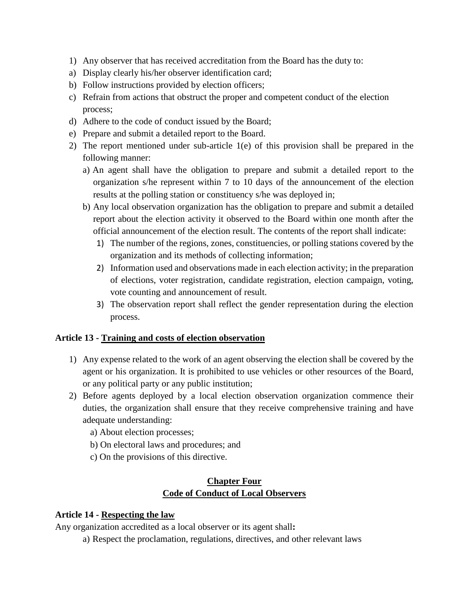- 1) Any observer that has received accreditation from the Board has the duty to:
- a) Display clearly his/her observer identification card;
- b) Follow instructions provided by election officers;
- c) Refrain from actions that obstruct the proper and competent conduct of the election process;
- d) Adhere to the code of conduct issued by the Board;
- e) Prepare and submit a detailed report to the Board.
- 2) The report mentioned under sub-article 1(e) of this provision shall be prepared in the following manner:
	- a) An agent shall have the obligation to prepare and submit a detailed report to the organization s/he represent within 7 to 10 days of the announcement of the election results at the polling station or constituency s/he was deployed in;
	- b) Any local observation organization has the obligation to prepare and submit a detailed report about the election activity it observed to the Board within one month after the official announcement of the election result. The contents of the report shall indicate:
		- 1) The number of the regions, zones, constituencies, or polling stations covered by the organization and its methods of collecting information;
		- 2) Information used and observations made in each election activity; in the preparation of elections, voter registration, candidate registration, election campaign, voting, vote counting and announcement of result.
		- 3) The observation report shall reflect the gender representation during the election process.

#### **Article 13 - Training and costs of election observation**

- 1) Any expense related to the work of an agent observing the election shall be covered by the agent or his organization. It is prohibited to use vehicles or other resources of the Board, or any political party or any public institution;
- 2) Before agents deployed by a local election observation organization commence their duties, the organization shall ensure that they receive comprehensive training and have adequate understanding:
	- a) About election processes;
	- b) On electoral laws and procedures; and
	- c) On the provisions of this directive.

### **Chapter Four Code of Conduct of Local Observers**

#### **Article 14 - Respecting the law**

Any organization accredited as a local observer or its agent shall**:**

a) Respect the proclamation, regulations, directives, and other relevant laws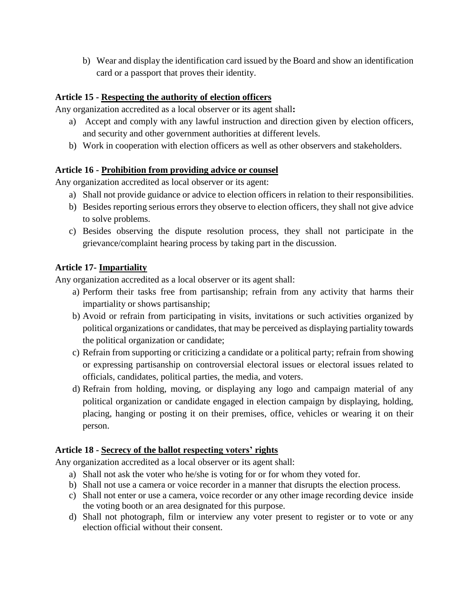b) Wear and display the identification card issued by the Board and show an identification card or a passport that proves their identity.

# **Article 15 - Respecting the authority of election officers**

Any organization accredited as a local observer or its agent shall**:**

- a) Accept and comply with any lawful instruction and direction given by election officers, and security and other government authorities at different levels.
- b) Work in cooperation with election officers as well as other observers and stakeholders.

#### **Article 16 - Prohibition from providing advice or counsel**

Any organization accredited as local observer or its agent:

- a) Shall not provide guidance or advice to election officers in relation to their responsibilities.
- b) Besides reporting serious errors they observe to election officers, they shall not give advice to solve problems.
- c) Besides observing the dispute resolution process, they shall not participate in the grievance/complaint hearing process by taking part in the discussion.

### **Article 17- Impartiality**

Any organization accredited as a local observer or its agent shall:

- a) Perform their tasks free from partisanship; refrain from any activity that harms their impartiality or shows partisanship;
- b) Avoid or refrain from participating in visits, invitations or such activities organized by political organizations or candidates, that may be perceived as displaying partiality towards the political organization or candidate;
- c) Refrain from supporting or criticizing a candidate or a political party; refrain from showing or expressing partisanship on controversial electoral issues or electoral issues related to officials, candidates, political parties, the media, and voters.
- d) Refrain from holding, moving, or displaying any logo and campaign material of any political organization or candidate engaged in election campaign by displaying, holding, placing, hanging or posting it on their premises, office, vehicles or wearing it on their person.

#### **Article 18 - Secrecy of the ballot respecting voters' rights**

Any organization accredited as a local observer or its agent shall:

- a) Shall not ask the voter who he/she is voting for or for whom they voted for.
- b) Shall not use a camera or voice recorder in a manner that disrupts the election process.
- c) Shall not enter or use a camera, voice recorder or any other image recording device inside the voting booth or an area designated for this purpose.
- d) Shall not photograph, film or interview any voter present to register or to vote or any election official without their consent.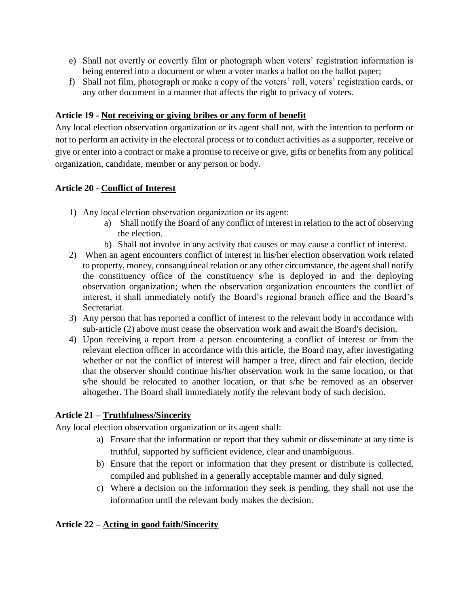- e) Shall not overtly or covertly film or photograph when voters' registration information is being entered into a document or when a voter marks a ballot on the ballot paper;
- f) Shall not film, photograph or make a copy of the voters' roll, voters' registration cards, or any other document in a manner that affects the right to privacy of voters.

### **Article 19 - Not receiving or giving bribes or any form of benefit**

Any local election observation organization or its agent shall not, with the intention to perform or not to perform an activity in the electoral process or to conduct activities as a supporter, receive or give or enter into a contract or make a promise to receive or give, gifts or benefits from any political organization, candidate, member or any person or body.

#### **Article 20 - Conflict of Interest**

- 1) Any local election observation organization or its agent:
	- a) Shall notify the Board of any conflict of interest in relation to the act of observing the election.
	- b) Shall not involve in any activity that causes or may cause a conflict of interest.
- 2) When an agent encounters conflict of interest in his/her election observation work related to property, money, consanguineal relation or any other circumstance, the agent shall notify the constituency office of the constituency s/he is deployed in and the deploying observation organization; when the observation organization encounters the conflict of interest, it shall immediately notify the Board's regional branch office and the Board's Secretariat.
- 3) Any person that has reported a conflict of interest to the relevant body in accordance with sub-article (2) above must cease the observation work and await the Board's decision.
- 4) Upon receiving a report from a person encountering a conflict of interest or from the relevant election officer in accordance with this article, the Board may, after investigating whether or not the conflict of interest will hamper a free, direct and fair election, decide that the observer should continue his/her observation work in the same location, or that s/he should be relocated to another location, or that s/he be removed as an observer altogether. The Board shall immediately notify the relevant body of such decision.

# **Article 21 – Truthfulness/Sincerity**

Any local election observation organization or its agent shall:

- a) Ensure that the information or report that they submit or disseminate at any time is truthful, supported by sufficient evidence, clear and unambiguous.
- b) Ensure that the report or information that they present or distribute is collected, compiled and published in a generally acceptable manner and duly signed.
- c) Where a decision on the information they seek is pending, they shall not use the information until the relevant body makes the decision.

#### **Article 22 – Acting in good faith/Sincerity**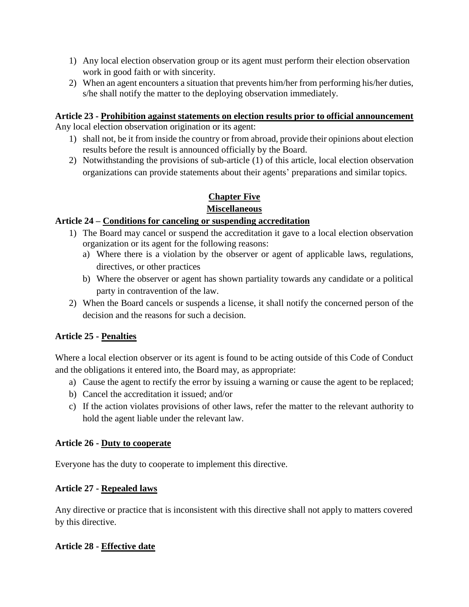- 1) Any local election observation group or its agent must perform their election observation work in good faith or with sincerity.
- 2) When an agent encounters a situation that prevents him/her from performing his/her duties, s/he shall notify the matter to the deploying observation immediately.

# **Article 23 - Prohibition against statements on election results prior to official announcement**

Any local election observation origination or its agent:

- 1) shall not, be it from inside the country or from abroad, provide their opinions about election results before the result is announced officially by the Board.
- 2) Notwithstanding the provisions of sub-article (1) of this article, local election observation organizations can provide statements about their agents' preparations and similar topics.

#### **Chapter Five Miscellaneous**

# **Article 24 – Conditions for canceling or suspending accreditation**

- 1) The Board may cancel or suspend the accreditation it gave to a local election observation organization or its agent for the following reasons:
	- a) Where there is a violation by the observer or agent of applicable laws, regulations, directives, or other practices
	- b) Where the observer or agent has shown partiality towards any candidate or a political party in contravention of the law.
- 2) When the Board cancels or suspends a license, it shall notify the concerned person of the decision and the reasons for such a decision.

# **Article 25 - Penalties**

Where a local election observer or its agent is found to be acting outside of this Code of Conduct and the obligations it entered into, the Board may, as appropriate:

- a) Cause the agent to rectify the error by issuing a warning or cause the agent to be replaced;
- b) Cancel the accreditation it issued; and/or
- c) If the action violates provisions of other laws, refer the matter to the relevant authority to hold the agent liable under the relevant law.

#### **Article 26 - Duty to cooperate**

Everyone has the duty to cooperate to implement this directive.

# **Article 27 - Repealed laws**

Any directive or practice that is inconsistent with this directive shall not apply to matters covered by this directive.

# **Article 28 - Effective date**